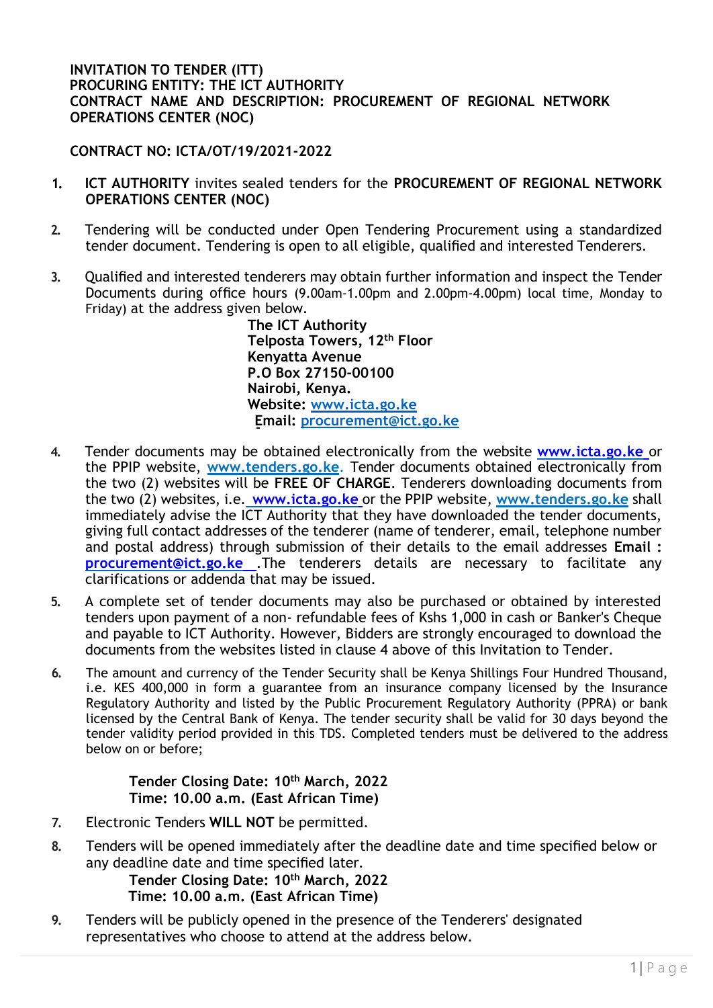## **INVITATION TO TENDER (ITT) PROCURING ENTITY: THE ICT AUTHORITY CONTRACT NAME AND DESCRIPTION: PROCUREMENT OF REGIONAL NETWORK OPERATIONS CENTER (NOC)**

**CONTRACT NO: ICTA/OT/19/2021-2022**

- **1. ICT AUTHORITY** invites sealed tenders for the **PROCUREMENT OF REGIONAL NETWORK OPERATIONS CENTER (NOC)**
- **2.** Tendering will be conducted under Open Tendering Procurement using a standardized tender document. Tendering is open to all eligible, qualified and interested Tenderers.
- **3.** Qualified and interested tenderers may obtain further information and inspect the Tender Documents during office hours (9.00am-1.00pm and 2.00pm-4.00pm) local time, Monday to Friday) at the address given below.

**The ICT Authority Telposta Towers, 12th Floor Kenyatta Avenue P.O Box 27150-00100 Nairobi, Kenya. Website: www.icta.go.ke Email: procurement@ict.go.ke**

- **4.** Tender documents may be obtained electronically from the website **www.icta.go.ke** or the PPIP website, **[www.tenders.go.ke](http://www.tenders.go.ke/)**. Tender documents obtained electronically from the two (2) websites will be **FREE OF CHARGE**. Tenderers downloading documents from the two (2) websites, i.e. **www.icta.go.ke** or the PPIP website, **[www.tenders.go.ke](http://www.tenders.go.ke/)** shall immediately advise the ICT Authority that they have downloaded the tender documents, giving full contact addresses of the tenderer (name of tenderer, email, telephone number and postal address) through submission of their details to the email addresses **Email [:](mailto:%20procurement@ict.go.ke) [procurement@ict.go.ke](mailto:%20procurement@ict.go.ke)** .The tenderers details are necessary to facilitate any clarifications or addenda that may be issued.
- **5.** A complete set of tender documents may also be purchased or obtained by interested tenders upon payment of a non- refundable fees of Kshs 1,000 in cash or Banker's Cheque and payable to ICT Authority. However, Bidders are strongly encouraged to download the documents from the websites listed in clause 4 above of this Invitation to Tender.
- **6.** The amount and currency of the Tender Security shall be Kenya Shillings Four Hundred Thousand, i.e. KES 400,000 in form a guarantee from an insurance company licensed by the Insurance Regulatory Authority and listed by the Public Procurement Regulatory Authority (PPRA) or bank licensed by the Central Bank of Kenya. The tender security shall be valid for 30 days beyond the tender validity period provided in this TDS. Completed tenders must be delivered to the address below on or before;

**Tender Closing Date: 10th March, 2022 Time: 10.00 a.m. (East African Time)**

- **7.** Electronic Tenders **WILL NOT** be permitted.
- **8.** Tenders will be opened immediately after the deadline date and time specified below or any deadline date and time specified later.

**Tender Closing Date: 10th March, 2022 Time: 10.00 a.m. (East African Time)**

**9.** Tenders will be publicly opened in the presence of the Tenderers' designated representatives who choose to attend at the address below.